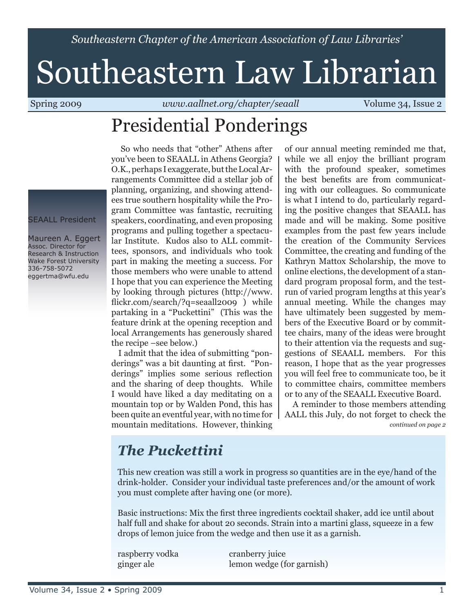*Southeastern Chapter of the American Association of Law Libraries'*

# Southeastern Law Librarian

Spring 2009 *www.aallnet.org/chapter/seaall* Volume 34, Issue 2

# Presidential Ponderings

#### SEAALL President

Maureen A. Eggert Assoc. Director for Research & Instruction Wake Forest University 336-758-5072 eggertma@wfu.edu

 So who needs that "other" Athens after you've been to SEAALL in Athens Georgia? O.K., perhaps I exaggerate, but the Local Arrangements Committee did a stellar job of planning, organizing, and showing attendees true southern hospitality while the Program Committee was fantastic, recruiting speakers, coordinating, and even proposing programs and pulling together a spectacular Institute. Kudos also to ALL committees, sponsors, and individuals who took part in making the meeting a success. For those members who were unable to attend I hope that you can experience the Meeting by looking through pictures (http://www. flickr.com/search/?q=seaall2009 ) while partaking in a "Puckettini" (This was the feature drink at the opening reception and local Arrangements has generously shared the recipe –see below.)

 I admit that the idea of submitting "ponderings" was a bit daunting at first. "Ponderings" implies some serious reflection and the sharing of deep thoughts. While I would have liked a day meditating on a mountain top or by Walden Pond, this has been quite an eventful year, with no time for mountain meditations. However, thinking

of our annual meeting reminded me that, while we all enjoy the brilliant program with the profound speaker, sometimes the best benefits are from communicating with our colleagues. So communicate is what I intend to do, particularly regarding the positive changes that SEAALL has made and will be making. Some positive examples from the past few years include the creation of the Community Services Committee, the creating and funding of the Kathryn Mattox Scholarship, the move to online elections, the development of a standard program proposal form, and the testrun of varied program lengths at this year's annual meeting. While the changes may have ultimately been suggested by members of the Executive Board or by committee chairs, many of the ideas were brought to their attention via the requests and suggestions of SEAALL members. For this reason, I hope that as the year progresses you will feel free to communicate too, be it to committee chairs, committee members or to any of the SEAALL Executive Board.

*continued on page 2* A reminder to those members attending AALL this July, do not forget to check the

### *The Puckettini*

This new creation was still a work in progress so quantities are in the eye/hand of the drink-holder. Consider your individual taste preferences and/or the amount of work you must complete after having one (or more).

Basic instructions: Mix the first three ingredients cocktail shaker, add ice until about half full and shake for about 20 seconds. Strain into a martini glass, squeeze in a few drops of lemon juice from the wedge and then use it as a garnish.

raspberry vodka cranberry juice

ginger ale lemon wedge (for garnish)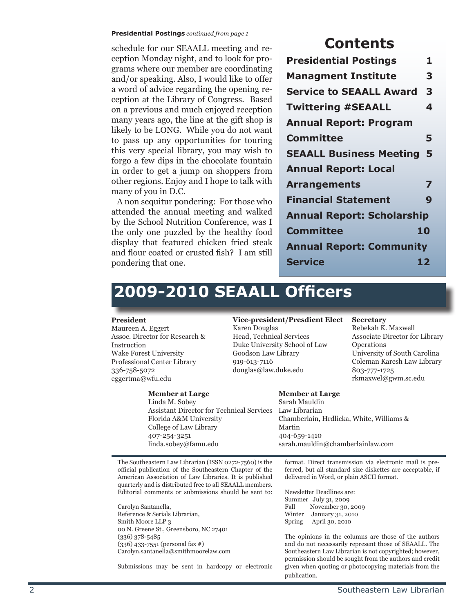#### **Presidential Postings** *continued from page 1*

schedule for our SEAALL meeting and reception Monday night, and to look for programs where our member are coordinating and/or speaking. Also, I would like to offer a word of advice regarding the opening reception at the Library of Congress. Based on a previous and much enjoyed reception many years ago, the line at the gift shop is likely to be LONG. While you do not want to pass up any opportunities for touring this very special library, you may wish to forgo a few dips in the chocolate fountain in order to get a jump on shoppers from other regions. Enjoy and I hope to talk with many of you in D.C.

 A non sequitur pondering: For those who attended the annual meeting and walked by the School Nutrition Conference, was I the only one puzzled by the healthy food display that featured chicken fried steak and flour coated or crusted fish? I am still pondering that one.

### **Contents**

| <b>Presidential Postings</b>      | 1 |
|-----------------------------------|---|
| <b>Managment Institute</b>        | 3 |
| <b>Service to SEAALL Award</b>    | 3 |
| <b>Twittering #SEAALL</b>         | 4 |
| <b>Annual Report: Program</b>     |   |
| <b>Committee</b>                  | 5 |
| <b>SEAALL Business Meeting 5</b>  |   |
| <b>Annual Report: Local</b>       |   |
| <b>Arrangements</b>               | 7 |
| <b>Financial Statement</b>        | 9 |
| <b>Annual Report: Scholarship</b> |   |
| <b>Committee</b><br>10            |   |
| <b>Annual Report: Community</b>   |   |
| <b>Service</b><br>12              |   |

# **2009-2010 SEAALL Officers**

#### **President**

Maureen A. Eggert Assoc. Director for Research & Instruction Wake Forest University Professional Center Library 336-758-5072 eggertma@wfu.edu

#### **Member at Large**

Linda M. Sobey Assistant Director for Technical Services Florida A&M University College of Law Library 407-254-3251 linda.sobey@famu.edu

### **Vice-president/Presdient Elect**

Karen Douglas Head, Technical Services Duke University School of Law Goodson Law Library 919-613-7116 douglas@law.duke.edu

#### **Member at Large**

Sarah Mauldin Law Librarian Chamberlain, Hrdlicka, White, Williams & Martin 404-659-1410 sarah.mauldin@chamberlainlaw.com

The Southeastern Law Librarian (ISSN 0272-7560) is the official publication of the Southeastern Chapter of the American Association of Law Libraries. It is published quarterly and is distributed free to all SEAALL members. Editorial comments or submissions should be sent to:

Carolyn Santanella, Reference & Serials Librarian, Smith Moore LLP 3 00 N. Greene St., Greensboro, NC 27401 (336) 378-5485 (336) 433-7551 (personal fax #) Carolyn.santanella@smithmoorelaw.com

Submissions may be sent in hardcopy or electronic

format. Direct transmission via electronic mail is preferred, but all standard size diskettes are acceptable, if delivered in Word, or plain ASCII format.

**Secretary**

**Operations** 

803-777-1725

Rebekah K. Maxwell

Associate Director for Library

University of South Carolina Coleman Karesh Law Library

rkmaxwel@gwm.sc.edu

Newsletter Deadlines are: Summer July 31, 2009 Fall November 30, 2009 Winter January 31, 2010 Spring April 30, 2010

The opinions in the columns are those of the authors and do not necessarily represent those of SEAALL. The Southeastern Law Librarian is not copyrighted; however, permission should be sought from the authors and credit given when quoting or photocopying materials from the publication.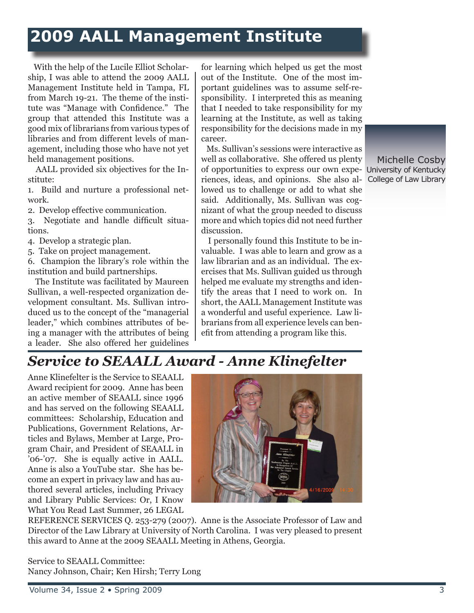# **2009 AALL Management Institute**

 With the help of the Lucile Elliot Scholarship, I was able to attend the 2009 AALL Management Institute held in Tampa, FL from March 19-21. The theme of the institute was "Manage with Confidence." The group that attended this Institute was a good mix of librarians from various types of libraries and from different levels of management, including those who have not yet held management positions.

 AALL provided six objectives for the Institute:

1. Build and nurture a professional network.

2. Develop effective communication.

3. Negotiate and handle difficult situations.

4. Develop a strategic plan.

5. Take on project management.

6. Champion the library's role within the institution and build partnerships.

 The Institute was facilitated by Maureen Sullivan, a well-respected organization development consultant. Ms. Sullivan introduced us to the concept of the "managerial leader," which combines attributes of being a manager with the attributes of being a leader. She also offered her guidelines

for learning which helped us get the most out of the Institute. One of the most important guidelines was to assume self-responsibility. I interpreted this as meaning that I needed to take responsibility for my learning at the Institute, as well as taking responsibility for the decisions made in my career.

of opportunities to express our own expe- University of Kentucky riences, ideas, and opinions. She also al- College of Law Library Ms. Sullivan's sessions were interactive as well as collaborative. She offered us plenty lowed us to challenge or add to what she said. Additionally, Ms. Sullivan was cognizant of what the group needed to discuss more and which topics did not need further discussion.

 I personally found this Institute to be invaluable. I was able to learn and grow as a law librarian and as an individual. The exercises that Ms. Sullivan guided us through helped me evaluate my strengths and identify the areas that I need to work on. In short, the AALL Management Institute was a wonderful and useful experience. Law librarians from all experience levels can benefit from attending a program like this.

Michelle Cosby

### *Service to SEAALL Award - Anne Klinefelter*

Anne Klinefelter is the Service to SEAALL Award recipient for 2009. Anne has been an active member of SEAALL since 1996 and has served on the following SEAALL committees: Scholarship, Education and Publications, Government Relations, Articles and Bylaws, Member at Large, Program Chair, and President of SEAALL in '06-'07. She is equally active in AALL. Anne is also a YouTube star. She has become an expert in privacy law and has authored several articles, including Privacy and Library Public Services: Or, I Know What You Read Last Summer, 26 LEGAL



REFERENCE SERVICES Q. 253-279 (2007). Anne is the Associate Professor of Law and Director of the Law Library at University of North Carolina. I was very pleased to present this award to Anne at the 2009 SEAALL Meeting in Athens, Georgia.

Service to SEAALL Committee: Nancy Johnson, Chair; Ken Hirsh; Terry Long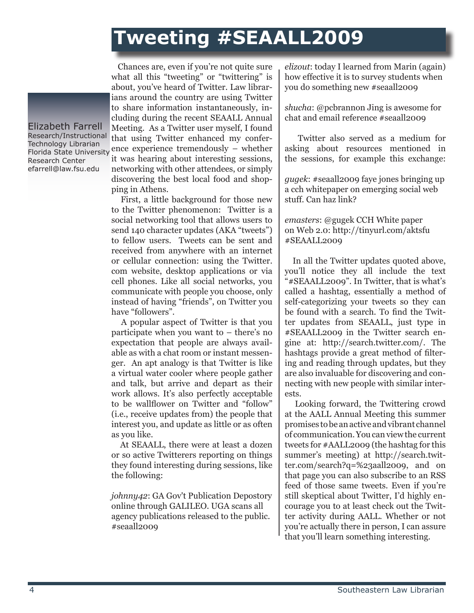# **Tweeting #SEAALL2009**

Elizabeth Farrell Research/Instructional Technology Librarian Florida State University Research Center efarrell@law.fsu.edu

 Chances are, even if you're not quite sure what all this "tweeting" or "twittering" is about, you've heard of Twitter. Law librarians around the country are using Twitter to share information instantaneously, including during the recent SEAALL Annual Meeting. As a Twitter user myself, I found that using Twitter enhanced my conference experience tremendously – whether it was hearing about interesting sessions, networking with other attendees, or simply discovering the best local food and shopping in Athens.

 First, a little background for those new to the Twitter phenomenon: Twitter is a social networking tool that allows users to send 140 character updates (AKA "tweets") to fellow users. Tweets can be sent and received from anywhere with an internet or cellular connection: using the Twitter. com website, desktop applications or via cell phones. Like all social networks, you communicate with people you choose, only instead of having "friends", on Twitter you have "followers".

 A popular aspect of Twitter is that you participate when you want to – there's no expectation that people are always available as with a chat room or instant messenger. An apt analogy is that Twitter is like a virtual water cooler where people gather and talk, but arrive and depart as their work allows. It's also perfectly acceptable to be wallflower on Twitter and "follow" (i.e., receive updates from) the people that interest you, and update as little or as often as you like.

 At SEAALL, there were at least a dozen or so active Twitterers reporting on things they found interesting during sessions, like the following:

*johnny42*: GA Gov't Publication Depostory online through GALILEO. UGA scans all agency publications released to the public. #seaall2009

*elizout*: today I learned from Marin (again) how effective it is to survey students when you do something new #seaall2009

*shucha*: @pcbrannon Jing is awesome for chat and email reference #seaall2009

 Twitter also served as a medium for asking about resources mentioned in the sessions, for example this exchange:

*gugek*: #seaall2009 faye jones bringing up a cch whitepaper on emerging social web stuff. Can haz link?

*emasters*: @gugek CCH White paper on Web 2.0: http://tinyurl.com/aktsfu #SEAALL2009

 In all the Twitter updates quoted above, you'll notice they all include the text "#SEAALL2009". In Twitter, that is what's called a hashtag, essentially a method of self-categorizing your tweets so they can be found with a search. To find the Twitter updates from SEAALL, just type in #SEAALL2009 in the Twitter search engine at: http://search.twitter.com/. The hashtags provide a great method of filtering and reading through updates, but they are also invaluable for discovering and connecting with new people with similar interests.

 Looking forward, the Twittering crowd at the AALL Annual Meeting this summer promises to be an active and vibrant channel of communication. You can view the current tweets for #AALL2009 (the hashtag for this summer's meeting) at http://search.twitter.com/search?q=%23aall2009, and on that page you can also subscribe to an RSS feed of those same tweets. Even if you're still skeptical about Twitter, I'd highly encourage you to at least check out the Twitter activity during AALL. Whether or not you're actually there in person, I can assure that you'll learn something interesting.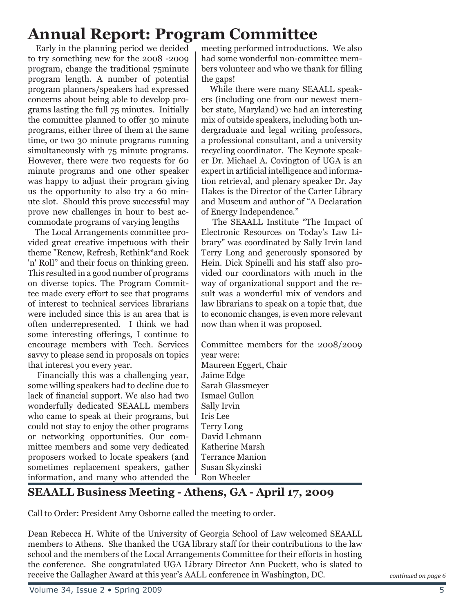# **Annual Report: Program Committee**

 Early in the planning period we decided to try something new for the 2008 -2009 program, change the traditional 75minute program length. A number of potential program planners/speakers had expressed concerns about being able to develop programs lasting the full 75 minutes. Initially the committee planned to offer 30 minute programs, either three of them at the same time, or two 30 minute programs running simultaneously with 75 minute programs. However, there were two requests for 60 minute programs and one other speaker was happy to adjust their program giving us the opportunity to also try a 60 minute slot. Should this prove successful may prove new challenges in hour to best accommodate programs of varying lengths

 The Local Arrangements committee provided great creative impetuous with their theme "Renew, Refresh, Rethink\*and Rock 'n' Roll" and their focus on thinking green. This resulted in a good number of programs on diverse topics. The Program Committee made every effort to see that programs of interest to technical services librarians were included since this is an area that is often underrepresented. I think we had some interesting offerings, I continue to encourage members with Tech. Services savvy to please send in proposals on topics that interest you every year.

 Financially this was a challenging year, some willing speakers had to decline due to lack of financial support. We also had two wonderfully dedicated SEAALL members who came to speak at their programs, but could not stay to enjoy the other programs or networking opportunities. Our committee members and some very dedicated proposers worked to locate speakers (and sometimes replacement speakers, gather information, and many who attended the

meeting performed introductions. We also had some wonderful non-committee members volunteer and who we thank for filling the gaps!

 While there were many SEAALL speakers (including one from our newest member state, Maryland) we had an interesting mix of outside speakers, including both undergraduate and legal writing professors, a professional consultant, and a university recycling coordinator. The Keynote speaker Dr. Michael A. Covington of UGA is an expert in artificial intelligence and information retrieval, and plenary speaker Dr. Jay Hakes is the Director of the Carter Library and Museum and author of "A Declaration of Energy Independence."

 The SEAALL Institute "The Impact of Electronic Resources on Today's Law Library" was coordinated by Sally Irvin land Terry Long and generously sponsored by Hein. Dick Spinelli and his staff also provided our coordinators with much in the way of organizational support and the result was a wonderful mix of vendors and law librarians to speak on a topic that, due to economic changes, is even more relevant now than when it was proposed.

Committee members for the 2008/2009 year were: Maureen Eggert, Chair Jaime Edge Sarah Glassmeyer Ismael Gullon Sally Irvin Iris Lee Terry Long David Lehmann Katherine Marsh Terrance Manion Susan Skyzinski Ron Wheeler

### **SEAALL Business Meeting - Athens, GA - April 17, 2009**

Call to Order: President Amy Osborne called the meeting to order.

Dean Rebecca H. White of the University of Georgia School of Law welcomed SEAALL members to Athens. She thanked the UGA library staff for their contributions to the law school and the members of the Local Arrangements Committee for their efforts in hosting the conference. She congratulated UGA Library Director Ann Puckett, who is slated to receive the Gallagher Award at this year's AALL conference in Washington, DC.

*continued on page 6*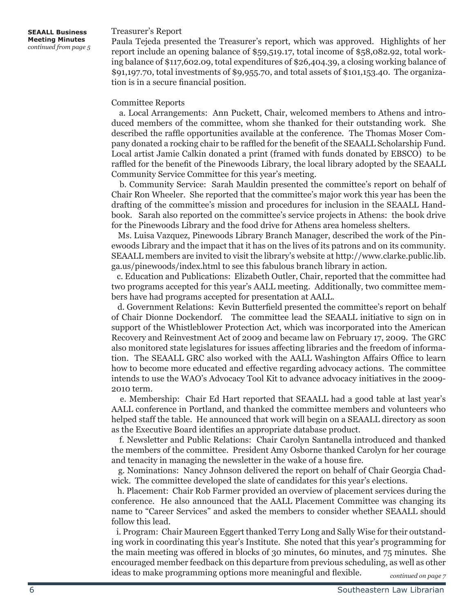#### Treasurer's Report

Paula Tejeda presented the Treasurer's report, which was approved. Highlights of her report include an opening balance of \$59,519.17, total income of \$58,082.92, total working balance of \$117,602.09, total expenditures of \$26,404.39, a closing working balance of \$91,197.70, total investments of \$9,955.70, and total assets of \$101,153.40. The organization is in a secure financial position.

#### Committee Reports

 a. Local Arrangements: Ann Puckett, Chair, welcomed members to Athens and introduced members of the committee, whom she thanked for their outstanding work. She described the raffle opportunities available at the conference. The Thomas Moser Company donated a rocking chair to be raffled for the benefit of the SEAALL Scholarship Fund. Local artist Jamie Calkin donated a print (framed with funds donated by EBSCO) to be raffled for the benefit of the Pinewoods Library, the local library adopted by the SEAALL Community Service Committee for this year's meeting.

 b. Community Service: Sarah Mauldin presented the committee's report on behalf of Chair Ron Wheeler. She reported that the committee's major work this year has been the drafting of the committee's mission and procedures for inclusion in the SEAALL Handbook. Sarah also reported on the committee's service projects in Athens: the book drive for the Pinewoods Library and the food drive for Athens area homeless shelters.

 Ms. Luisa Vazquez, Pinewoods Library Branch Manager, described the work of the Pinewoods Library and the impact that it has on the lives of its patrons and on its community. SEAALL members are invited to visit the library's website at http://www.clarke.public.lib. ga.us/pinewoods/index.html to see this fabulous branch library in action.

 c. Education and Publications: Elizabeth Outler, Chair, reported that the committee had two programs accepted for this year's AALL meeting. Additionally, two committee members have had programs accepted for presentation at AALL.

 d. Government Relations: Kevin Butterfield presented the committee's report on behalf of Chair Dionne Dockendorf. The committee lead the SEAALL initiative to sign on in support of the Whistleblower Protection Act, which was incorporated into the American Recovery and Reinvestment Act of 2009 and became law on February 17, 2009. The GRC also monitored state legislatures for issues affecting libraries and the freedom of information. The SEAALL GRC also worked with the AALL Washington Affairs Office to learn how to become more educated and effective regarding advocacy actions. The committee intends to use the WAO's Advocacy Tool Kit to advance advocacy initiatives in the 2009- 2010 term.

 e. Membership: Chair Ed Hart reported that SEAALL had a good table at last year's AALL conference in Portland, and thanked the committee members and volunteers who helped staff the table. He announced that work will begin on a SEAALL directory as soon as the Executive Board identifies an appropriate database product.

 f. Newsletter and Public Relations: Chair Carolyn Santanella introduced and thanked the members of the committee. President Amy Osborne thanked Carolyn for her courage and tenacity in managing the newsletter in the wake of a house fire.

 g. Nominations: Nancy Johnson delivered the report on behalf of Chair Georgia Chadwick. The committee developed the slate of candidates for this year's elections.

 h. Placement: Chair Rob Farmer provided an overview of placement services during the conference. He also announced that the AALL Placement Committee was changing its name to "Career Services" and asked the members to consider whether SEAALL should follow this lead.

*continued on page 7* i. Program: Chair Maureen Eggert thanked Terry Long and Sally Wise for their outstanding work in coordinating this year's Institute. She noted that this year's programming for the main meeting was offered in blocks of 30 minutes, 60 minutes, and 75 minutes. She encouraged member feedback on this departure from previous scheduling, as well as other ideas to make programming options more meaningful and flexible.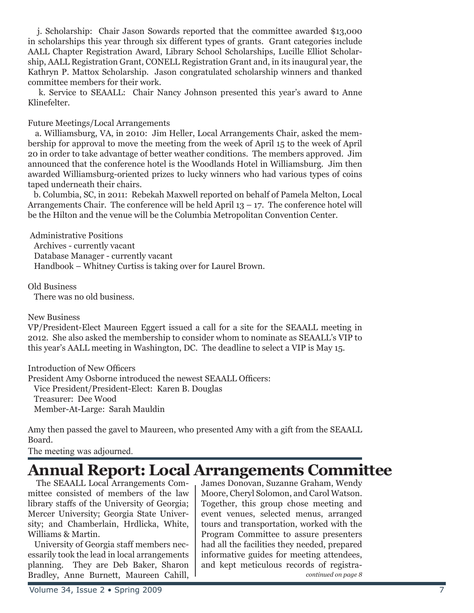j. Scholarship: Chair Jason Sowards reported that the committee awarded \$13,000 in scholarships this year through six different types of grants. Grant categories include AALL Chapter Registration Award, Library School Scholarships, Lucille Elliot Scholarship, AALL Registration Grant, CONELL Registration Grant and, in its inaugural year, the Kathryn P. Mattox Scholarship. Jason congratulated scholarship winners and thanked committee members for their work.

 k. Service to SEAALL: Chair Nancy Johnson presented this year's award to Anne Klinefelter.

#### Future Meetings/Local Arrangements

 a. Williamsburg, VA, in 2010: Jim Heller, Local Arrangements Chair, asked the membership for approval to move the meeting from the week of April 15 to the week of April 20 in order to take advantage of better weather conditions. The members approved. Jim announced that the conference hotel is the Woodlands Hotel in Williamsburg. Jim then awarded Williamsburg-oriented prizes to lucky winners who had various types of coins taped underneath their chairs.

 b. Columbia, SC, in 2011: Rebekah Maxwell reported on behalf of Pamela Melton, Local Arrangements Chair. The conference will be held April  $13 - 17$ . The conference hotel will be the Hilton and the venue will be the Columbia Metropolitan Convention Center.

 Administrative Positions Archives - currently vacant Database Manager - currently vacant Handbook – Whitney Curtiss is taking over for Laurel Brown.

Old Business There was no old business.

New Business

VP/President-Elect Maureen Eggert issued a call for a site for the SEAALL meeting in 2012. She also asked the membership to consider whom to nominate as SEAALL's VIP to this year's AALL meeting in Washington, DC. The deadline to select a VIP is May 15.

Introduction of New Officers President Amy Osborne introduced the newest SEAALL Officers: Vice President/President-Elect: Karen B. Douglas Treasurer: Dee Wood Member-At-Large: Sarah Mauldin

Amy then passed the gavel to Maureen, who presented Amy with a gift from the SEAALL Board.

The meeting was adjourned.

### **Annual Report: Local Arrangements Committee**

 The SEAALL Local Arrangements Committee consisted of members of the law library staffs of the University of Georgia; Mercer University; Georgia State University; and Chamberlain, Hrdlicka, White, Williams & Martin.

 University of Georgia staff members necessarily took the lead in local arrangements planning. They are Deb Baker, Sharon Bradley, Anne Burnett, Maureen Cahill,

*continued on page 8* James Donovan, Suzanne Graham, Wendy Moore, Cheryl Solomon, and Carol Watson. Together, this group chose meeting and event venues, selected menus, arranged tours and transportation, worked with the Program Committee to assure presenters had all the facilities they needed, prepared informative guides for meeting attendees, and kept meticulous records of registra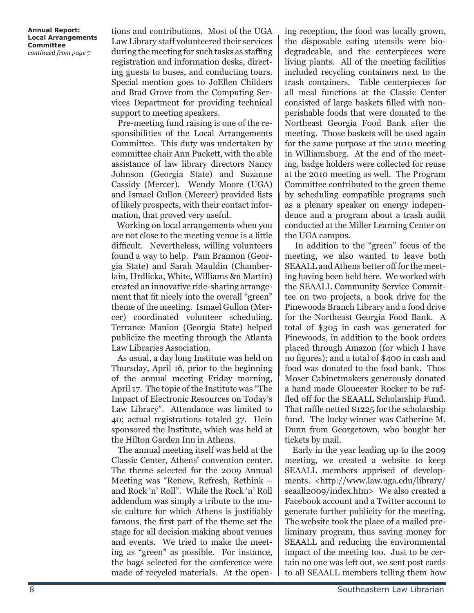**Annual Report: Local Arrangements Committee** *continued from page 7*

tions and contributions. Most of the UGA Law Library staff volunteered their services during the meeting for such tasks as staffing registration and information desks, directing guests to buses, and conducting tours. Special mention goes to JoEllen Childers and Brad Grove from the Computing Services Department for providing technical support to meeting speakers.

 Pre-meeting fund raising is one of the responsibilities of the Local Arrangements Committee. This duty was undertaken by committee chair Ann Puckett, with the able assistance of law library directors Nancy Johnson (Georgia State) and Suzanne Cassidy (Mercer). Wendy Moore (UGA) and Ismael Gullon (Mercer) provided lists of likely prospects, with their contact information, that proved very useful.

 Working on local arrangements when you are not close to the meeting venue is a little difficult. Nevertheless, willing volunteers found a way to help. Pam Brannon (Georgia State) and Sarah Mauldin (Chamberlain, Hrdlicka, White, Williams &n Martin) created an innovative ride-sharing arrangement that fit nicely into the overall "green" theme of the meeting. Ismael Gullon (Mercer) coordinated volunteer scheduling. Terrance Manion (Georgia State) helped publicize the meeting through the Atlanta Law Libraries Association.

 As usual, a day long Institute was held on Thursday, April 16, prior to the beginning of the annual meeting Friday morning, April 17. The topic of the Institute was "The Impact of Electronic Resources on Today's Law Library". Attendance was limited to 40; actual registrations totaled 37. Hein sponsored the Institute, which was held at the Hilton Garden Inn in Athens.

 The annual meeting itself was held at the Classic Center, Athens' convention center. The theme selected for the 2009 Annual Meeting was "Renew, Refresh, Rethink – and Rock 'n' Roll". While the Rock 'n' Roll addendum was simply a tribute to the music culture for which Athens is justifiably famous, the first part of the theme set the stage for all decision making about venues and events. We tried to make the meeting as "green" as possible. For instance, the bags selected for the conference were made of recycled materials. At the opening reception, the food was locally grown, the disposable eating utensils were biodegradeable, and the centerpieces were living plants. All of the meeting facilities included recycling containers next to the trash containers. Table centerpieces for all meal functions at the Classic Center consisted of large baskets filled with nonperishable foods that were donated to the Northeast Georgia Food Bank after the meeting. Those baskets will be used again for the same purpose at the 2010 meeting in Williamsburg. At the end of the meeting, badge holders were collected for reuse at the 2010 meeting as well. The Program Committee contributed to the green theme by scheduling compatible programs such as a plenary speaker on energy independence and a program about a trash audit conducted at the Miller Learning Center on the UGA campus.

 In addition to the "green" focus of the meeting, we also wanted to leave both SEAALL and Athens better off for the meeting having been held here. We worked with the SEAALL Community Service Committee on two projects, a book drive for the Pinewoods Branch Library and a food drive for the Northeast Georgia Food Bank. A total of \$305 in cash was generated for Pinewoods, in addition to the book orders placed through Amazon (for which I have no figures); and a total of \$400 in cash and food was donated to the food bank. Thos Moser Cabinetmakers generously donated a hand made Gloucester Rocker to be raffled off for the SEAALL Scholarship Fund. That raffle netted \$1225 for the scholarship fund. The lucky winner was Catherine M. Dunn from Georgetown, who bought her tickets by mail.

 Early in the year leading up to the 2009 meeting, we created a website to keep SEAALL members apprised of developments. <http://www.law.uga.edu/library/ seaall2009/index.htm> We also created a Facebook account and a Twitter account to generate further publicity for the meeting. The website took the place of a mailed preliminary program, thus saving money for SEAALL and reducing the environmental impact of the meeting too. Just to be certain no one was left out, we sent post cards to all SEAALL members telling them how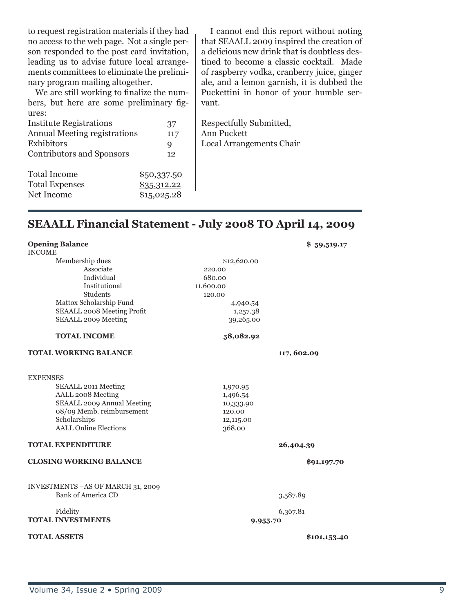to request registration materials if they had no access to the web page. Not a single person responded to the post card invitation, leading us to advise future local arrangements committees to eliminate the preliminary program mailing altogether.

 We are still working to finalize the numbers, but here are some preliminary figures:

| <b>Institute Registrations</b>      |             | 37  |
|-------------------------------------|-------------|-----|
| <b>Annual Meeting registrations</b> |             | 117 |
| Exhibitors                          |             | Q   |
| Contributors and Sponsors           |             | 12  |
| <b>Total Income</b>                 | \$50,337.50 |     |
| <b>Total Expenses</b>               | \$35,312.22 |     |
| Net Income                          | \$15,025.28 |     |

 I cannot end this report without noting that SEAALL 2009 inspired the creation of a delicious new drink that is doubtless destined to become a classic cocktail. Made of raspberry vodka, cranberry juice, ginger ale, and a lemon garnish, it is dubbed the Puckettini in honor of your humble servant.

Respectfully Submitted, Ann Puckett Local Arrangements Chair

### **SEAALL Financial Statement - July 2008 TO April 14, 2009**

| <b>Opening Balance</b>                                                 |             | \$59,519.17  |
|------------------------------------------------------------------------|-------------|--------------|
| <b>INCOME</b>                                                          |             |              |
| Membership dues                                                        | \$12,620.00 |              |
| Associate                                                              | 220.00      |              |
| Individual                                                             | 680.00      |              |
| Institutional                                                          | 11,600.00   |              |
| Students                                                               | 120.00      |              |
| Mattox Scholarship Fund                                                | 4,940.54    |              |
| SEAALL 2008 Meeting Profit                                             | 1,257.38    |              |
| <b>SEAALL 2009 Meeting</b>                                             | 39,265.00   |              |
| <b>TOTAL INCOME</b>                                                    | 58,082.92   |              |
| <b>TOTAL WORKING BALANCE</b>                                           |             | 117, 602.09  |
| <b>EXPENSES</b>                                                        |             |              |
| <b>SEAALL 2011 Meeting</b>                                             | 1,970.95    |              |
| AALL 2008 Meeting                                                      | 1,496.54    |              |
| <b>SEAALL 2009 Annual Meeting</b>                                      | 10,333.90   |              |
| 08/09 Memb. reimbursement                                              | 120.00      |              |
| Scholarships                                                           | 12,115.00   |              |
| <b>AALL Online Elections</b>                                           | 368.00      |              |
| <b>TOTAL EXPENDITURE</b>                                               |             | 26,404.39    |
| <b>CLOSING WORKING BALANCE</b>                                         |             | \$91,197.70  |
| <b>INVESTMENTS - AS OF MARCH 31, 2009</b><br><b>Bank of America CD</b> |             | 3,587.89     |
|                                                                        |             |              |
| Fidelity<br><b>TOTAL INVESTMENTS</b>                                   | 9,955.70    | 6,367.81     |
| <b>TOTAL ASSETS</b>                                                    |             | \$101,153.40 |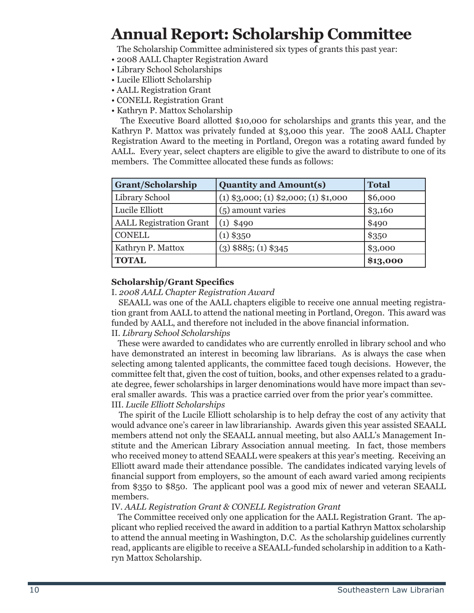# **Annual Report: Scholarship Committee**

The Scholarship Committee administered six types of grants this past year:

- 2008 AALL Chapter Registration Award
- Library School Scholarships
- Lucile Elliott Scholarship
- AALL Registration Grant
- CONELL Registration Grant
- Kathryn P. Mattox Scholarship

 The Executive Board allotted \$10,000 for scholarships and grants this year, and the Kathryn P. Mattox was privately funded at \$3,000 this year. The 2008 AALL Chapter Registration Award to the meeting in Portland, Oregon was a rotating award funded by AALL. Every year, select chapters are eligible to give the award to distribute to one of its members. The Committee allocated these funds as follows:

| Grant/Scholarship              | <b>Quantity and Amount(s)</b>               | <b>Total</b> |
|--------------------------------|---------------------------------------------|--------------|
| Library School                 | $(1)$ \$3,000; $(1)$ \$2,000; $(1)$ \$1,000 | \$6,000      |
| Lucile Elliott                 | (5) amount varies                           | \$3,160      |
| <b>AALL Registration Grant</b> | $(1)$ \$490                                 | \$490        |
| <b>CONELL</b>                  | $(1)$ \$350                                 | \$350        |
| Kathryn P. Mattox              | $(3)$ \$885; (1) \$345                      | \$3,000      |
| <b>TOTAL</b>                   |                                             | \$13,000     |

#### **Scholarship/Grant Specifics**

I. *2008 AALL Chapter Registration Award*

 SEAALL was one of the AALL chapters eligible to receive one annual meeting registration grant from AALL to attend the national meeting in Portland, Oregon. This award was funded by AALL, and therefore not included in the above financial information.

#### II. *Library School Scholarships*

 These were awarded to candidates who are currently enrolled in library school and who have demonstrated an interest in becoming law librarians. As is always the case when selecting among talented applicants, the committee faced tough decisions. However, the committee felt that, given the cost of tuition, books, and other expenses related to a graduate degree, fewer scholarships in larger denominations would have more impact than several smaller awards. This was a practice carried over from the prior year's committee. III. *Lucile Elliott Scholarships*

 The spirit of the Lucile Elliott scholarship is to help defray the cost of any activity that would advance one's career in law librarianship. Awards given this year assisted SEAALL members attend not only the SEAALL annual meeting, but also AALL's Management Institute and the American Library Association annual meeting. In fact, those members who received money to attend SEAALL were speakers at this year's meeting. Receiving an Elliott award made their attendance possible. The candidates indicated varying levels of financial support from employers, so the amount of each award varied among recipients from \$350 to \$850. The applicant pool was a good mix of newer and veteran SEAALL members.

#### IV. *AALL Registration Grant & CONELL Registration Grant*

 The Committee received only one application for the AALL Registration Grant. The applicant who replied received the award in addition to a partial Kathryn Mattox scholarship to attend the annual meeting in Washington, D.C. As the scholarship guidelines currently read, applicants are eligible to receive a SEAALL-funded scholarship in addition to a Kathryn Mattox Scholarship.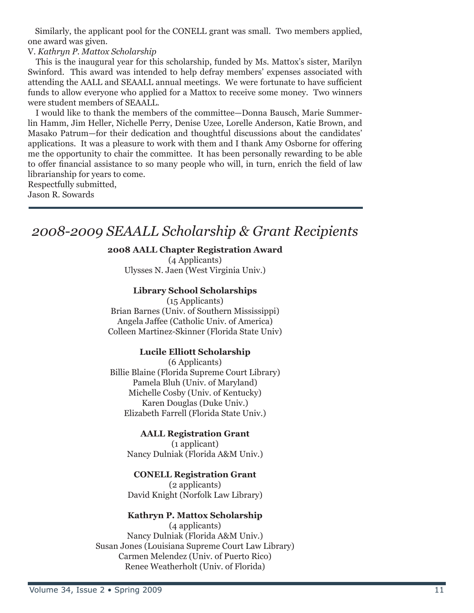Similarly, the applicant pool for the CONELL grant was small. Two members applied, one award was given.

V. *Kathryn P. Mattox Scholarship*

 This is the inaugural year for this scholarship, funded by Ms. Mattox's sister, Marilyn Swinford. This award was intended to help defray members' expenses associated with attending the AALL and SEAALL annual meetings. We were fortunate to have sufficient funds to allow everyone who applied for a Mattox to receive some money. Two winners were student members of SEAALL.

 I would like to thank the members of the committee—Donna Bausch, Marie Summerlin Hamm, Jim Heller, Nichelle Perry, Denise Uzee, Lorelle Anderson, Katie Brown, and Masako Patrum—for their dedication and thoughtful discussions about the candidates' applications. It was a pleasure to work with them and I thank Amy Osborne for offering me the opportunity to chair the committee. It has been personally rewarding to be able to offer financial assistance to so many people who will, in turn, enrich the field of law librarianship for years to come.

Respectfully submitted, Jason R. Sowards

### *2008-2009 SEAALL Scholarship & Grant Recipients*

#### **2008 AALL Chapter Registration Award**

(4 Applicants) Ulysses N. Jaen (West Virginia Univ.)

#### **Library School Scholarships**

(15 Applicants) Brian Barnes (Univ. of Southern Mississippi) Angela Jaffee (Catholic Univ. of America) Colleen Martinez-Skinner (Florida State Univ)

#### **Lucile Elliott Scholarship**

(6 Applicants) Billie Blaine (Florida Supreme Court Library) Pamela Bluh (Univ. of Maryland) Michelle Cosby (Univ. of Kentucky) Karen Douglas (Duke Univ.) Elizabeth Farrell (Florida State Univ.)

#### **AALL Registration Grant**

(1 applicant) Nancy Dulniak (Florida A&M Univ.)

#### **CONELL Registration Grant**

(2 applicants) David Knight (Norfolk Law Library)

#### **Kathryn P. Mattox Scholarship**

(4 applicants) Nancy Dulniak (Florida A&M Univ.) Susan Jones (Louisiana Supreme Court Law Library) Carmen Melendez (Univ. of Puerto Rico) Renee Weatherholt (Univ. of Florida)